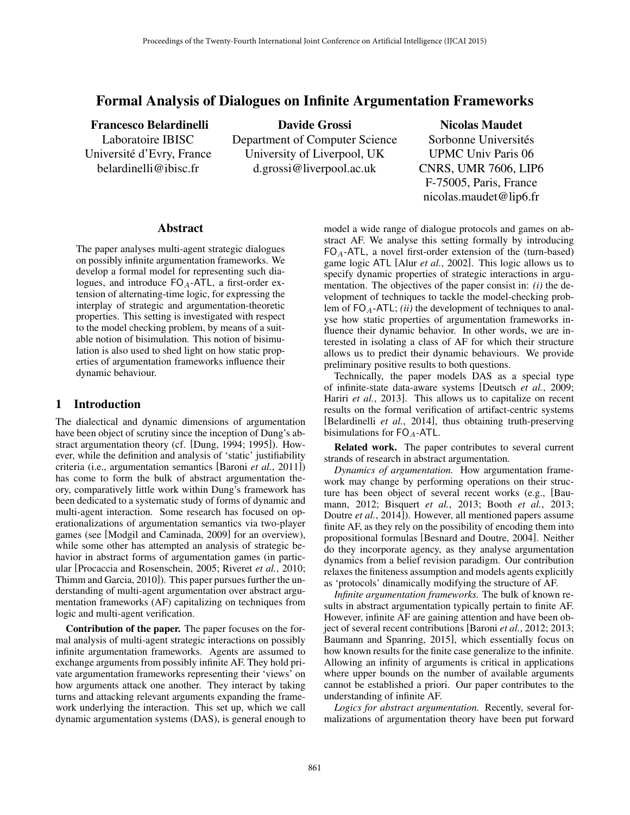# Formal Analysis of Dialogues on Infinite Argumentation Frameworks

Francesco Belardinelli Laboratoire IBISC Universite d'Evry, France ´ belardinelli@ibisc.fr

Davide Grossi Department of Computer Science University of Liverpool, UK d.grossi@liverpool.ac.uk

Nicolas Maudet Sorbonne Universités UPMC Univ Paris 06 CNRS, UMR 7606, LIP6 F-75005, Paris, France nicolas.maudet@lip6.fr

#### Abstract

The paper analyses multi-agent strategic dialogues on possibly infinite argumentation frameworks. We develop a formal model for representing such dialogues, and introduce  $FO_A$ -ATL, a first-order extension of alternating-time logic, for expressing the interplay of strategic and argumentation-theoretic properties. This setting is investigated with respect to the model checking problem, by means of a suitable notion of bisimulation. This notion of bisimulation is also used to shed light on how static properties of argumentation frameworks influence their dynamic behaviour.

### 1 Introduction

The dialectical and dynamic dimensions of argumentation have been object of scrutiny since the inception of Dung's abstract argumentation theory (cf. [Dung, 1994; 1995]). However, while the definition and analysis of 'static' justifiability criteria (i.e., argumentation semantics [Baroni *et al.*, 2011]) has come to form the bulk of abstract argumentation theory, comparatively little work within Dung's framework has been dedicated to a systematic study of forms of dynamic and multi-agent interaction. Some research has focused on operationalizations of argumentation semantics via two-player games (see [Modgil and Caminada, 2009] for an overview), while some other has attempted an analysis of strategic behavior in abstract forms of argumentation games (in particular [Procaccia and Rosenschein, 2005; Riveret *et al.*, 2010; Thimm and Garcia, 2010]). This paper pursues further the understanding of multi-agent argumentation over abstract argumentation frameworks (AF) capitalizing on techniques from logic and multi-agent verification.

Contribution of the paper. The paper focuses on the formal analysis of multi-agent strategic interactions on possibly infinite argumentation frameworks. Agents are assumed to exchange arguments from possibly infinite AF. They hold private argumentation frameworks representing their 'views' on how arguments attack one another. They interact by taking turns and attacking relevant arguments expanding the framework underlying the interaction. This set up, which we call dynamic argumentation systems (DAS), is general enough to model a wide range of dialogue protocols and games on abstract AF. We analyse this setting formally by introducing  $FO_A-ATL$ , a novel first-order extension of the (turn-based) game logic ATL [Alur *et al.*, 2002]. This logic allows us to specify dynamic properties of strategic interactions in argumentation. The objectives of the paper consist in: *(i)* the development of techniques to tackle the model-checking problem of  $FO_A$ -ATL; *(ii)* the development of techniques to analyse how static properties of argumentation frameworks influence their dynamic behavior. In other words, we are interested in isolating a class of AF for which their structure allows us to predict their dynamic behaviours. We provide preliminary positive results to both questions.

Technically, the paper models DAS as a special type of infinite-state data-aware systems [Deutsch *et al.*, 2009; Hariri *et al.*, 2013]. This allows us to capitalize on recent results on the formal verification of artifact-centric systems [Belardinelli *et al.*, 2014], thus obtaining truth-preserving bisimulations for  $FO_A$ -ATL.

Related work. The paper contributes to several current strands of research in abstract argumentation.

*Dynamics of argumentation.* How argumentation framework may change by performing operations on their structure has been object of several recent works (e.g., [Baumann, 2012; Bisquert *et al.*, 2013; Booth *et al.*, 2013; Doutre *et al.*, 2014]). However, all mentioned papers assume finite AF, as they rely on the possibility of encoding them into propositional formulas [Besnard and Doutre, 2004]. Neither do they incorporate agency, as they analyse argumentation dynamics from a belief revision paradigm. Our contribution relaxes the finiteness assumption and models agents explicitly as 'protocols' dinamically modifying the structure of AF.

*Infinite argumentation frameworks.* The bulk of known results in abstract argumentation typically pertain to finite AF. However, infinite AF are gaining attention and have been object of several recent contributions [Baroni *et al.*, 2012; 2013; Baumann and Spanring, 2015], which essentially focus on how known results for the finite case generalize to the infinite. Allowing an infinity of arguments is critical in applications where upper bounds on the number of available arguments cannot be established a priori. Our paper contributes to the understanding of infinite AF.

*Logics for abstract argumentation.* Recently, several formalizations of argumentation theory have been put forward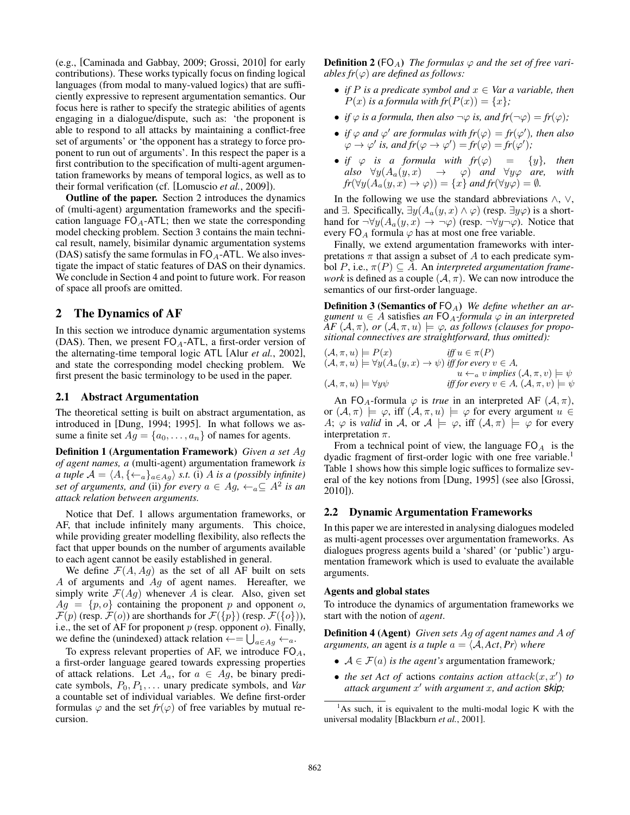(e.g., [Caminada and Gabbay, 2009; Grossi, 2010] for early contributions). These works typically focus on finding logical languages (from modal to many-valued logics) that are sufficiently expressive to represent argumentation semantics. Our focus here is rather to specify the strategic abilities of agents engaging in a dialogue/dispute, such as: 'the proponent is able to respond to all attacks by maintaining a conflict-free set of arguments' or 'the opponent has a strategy to force proponent to run out of arguments'. In this respect the paper is a first contribution to the specification of multi-agent argumentation frameworks by means of temporal logics, as well as to their formal verification (cf. [Lomuscio *et al.*, 2009]).

Outline of the paper. Section 2 introduces the dynamics of (multi-agent) argumentation frameworks and the specification language  $FO_A$ -ATL; then we state the corresponding model checking problem. Section 3 contains the main technical result, namely, bisimilar dynamic argumentation systems (DAS) satisfy the same formulas in  $FO<sub>A</sub>$ -ATL. We also investigate the impact of static features of DAS on their dynamics. We conclude in Section 4 and point to future work. For reason of space all proofs are omitted.

### 2 The Dynamics of AF

In this section we introduce dynamic argumentation systems (DAS). Then, we present  $FO<sub>A</sub>$ -ATL, a first-order version of the alternating-time temporal logic ATL [Alur *et al.*, 2002], and state the corresponding model checking problem. We first present the basic terminology to be used in the paper.

#### 2.1 Abstract Argumentation

The theoretical setting is built on abstract argumentation, as introduced in [Dung, 1994; 1995]. In what follows we assume a finite set  $Ag = \{a_0, \ldots, a_n\}$  of names for agents.

Definition 1 (Argumentation Framework) *Given a set* Ag *of agent names, a* (multi-agent) argumentation framework *is a tuple*  $A = \langle A, \{ \leftarrow_a \}_{a \in Ag} \rangle$  *s.t.* (i) A *is a (possibly infinite) set of arguments, and (ii) for every*  $a \in Ag$ ,  $\leftarrow_a \subseteq A^2$  *is an attack relation between arguments.*

Notice that Def. 1 allows argumentation frameworks, or AF, that include infinitely many arguments. This choice, while providing greater modelling flexibility, also reflects the fact that upper bounds on the number of arguments available to each agent cannot be easily established in general.

We define  $\mathcal{F}(A, Ag)$  as the set of all AF built on sets  $A$  of arguments and  $Ag$  of agent names. Hereafter, we simply write  $\mathcal{F}(Ag)$  whenever A is clear. Also, given set  $Ag = \{p, o\}$  containing the proponent p and opponent o,  $\mathcal{F}(p)$  (resp.  $\mathcal{F}(o)$ ) are shorthands for  $\mathcal{F}(\{p\})$  (resp.  $\mathcal{F}(\{o\})$ ), i.e., the set of AF for proponent  $p$  (resp. opponent  $o$ ). Finally, we define the (unindexed) attack relation  $\leftarrow = \bigcup_{a \in Ag} \leftarrow a$ .

To express relevant properties of AF, we introduce  $FO<sub>A</sub>$ , a first-order language geared towards expressing properties of attack relations. Let  $A_a$ , for  $a \in Ag$ , be binary predicate symbols, P0, P1, . . . unary predicate symbols, and *Var* a countable set of individual variables. We define first-order formulas  $\varphi$  and the set  $fr(\varphi)$  of free variables by mutual recursion.

**Definition 2** (FO<sub>A</sub>) *The formulas*  $\varphi$  *and the set of free variables fr*( $\varphi$ ) *are defined as follows:* 

- *if*  $P$  *is a predicate symbol and*  $x \in \text{Var } a$  *variable, then*  $P(x)$  *is a formula with fr* $(P(x)) = \{x\}$ ;
- *if*  $\varphi$  *is a formula, then also*  $\neg \varphi$  *is, and fr*( $\neg \varphi$ ) = *fr*( $\varphi$ );
- *if*  $\varphi$  *and*  $\varphi'$  *are formulas with*  $fr(\varphi) = fr(\varphi')$ *, then also*  $\varphi \to \varphi'$  is, and  $fr(\varphi \to \varphi') = fr(\varphi) = fr(\varphi')$ ;
- *if*  $\varphi$  *is a formula with fr*( $\varphi$ ) = {*y*}, *then*  $also \quad \forall y (A_a(y,x) \rightarrow \varphi) \quad and \quad \forall y \varphi \quad are, \quad with$  $fr(\forall y(A_a(y,x) \to \varphi)) = \{x\}$  and  $fr(\forall y\varphi) = \emptyset$ *.*

In the following we use the standard abbreviations  $\wedge$ ,  $\vee$ , and  $\exists$ . Specifically,  $\exists y(A_a(y, x) \land \varphi)$  (resp.  $\exists y \varphi$ ) is a shorthand for  $\neg\forall y(A_a(y, x) \rightarrow \neg\varphi)$  (resp.  $\neg\forall y \neg\varphi$ ). Notice that every FO<sub>A</sub> formula  $\varphi$  has at most one free variable.

Finally, we extend argumentation frameworks with interpretations  $\pi$  that assign a subset of A to each predicate symbol  $P$ , i.e.,  $\pi(P) \subseteq A$ . An *interpreted argumentation framework* is defined as a couple  $(A, \pi)$ . We can now introduce the semantics of our first-order language.

**Definition 3 (Semantics of FO<sub>A</sub>)** *We define whether an argument*  $u \in A$  satisfies *an*  $FO_A$ -formula  $\varphi$  *in an interpreted AF*  $(A, \pi)$ *, or*  $(A, \pi, u) \models \varphi$ *, as follows (clauses for propositional connectives are straightforward, thus omitted):*

$$
(A, \pi, u) \models P(x)
$$
  
\n
$$
(A, \pi, u) \models \forall y (A_a(y, x) \rightarrow \psi) \text{ iff for every } v \in A,
$$
  
\n
$$
u \leftarrow_a v \text{ implies } (A, \pi, v) \models \psi
$$
  
\n
$$
(A, \pi, u) \models \forall y \psi
$$
  
\n
$$
\text{iff for every } v \in A, (A, \pi, v) \models \psi
$$

An FO<sub>A</sub>-formula  $\varphi$  is *true* in an interpreted AF  $(A, \pi)$ , or  $(A, \pi) \models \varphi$ , iff  $(A, \pi, u) \models \varphi$  for every argument  $u \in$ A;  $\varphi$  is *valid* in A, or  $\mathcal{A} \models \varphi$ , iff  $(\mathcal{A}, \pi) \models \varphi$  for every interpretation  $\pi$ .

From a technical point of view, the language  $FO<sub>A</sub>$  is the dyadic fragment of first-order logic with one free variable.<sup>1</sup> Table 1 shows how this simple logic suffices to formalize several of the key notions from [Dung, 1995] (see also [Grossi, 2010]).

#### 2.2 Dynamic Argumentation Frameworks

In this paper we are interested in analysing dialogues modeled as multi-agent processes over argumentation frameworks. As dialogues progress agents build a 'shared' (or 'public') argumentation framework which is used to evaluate the available arguments.

#### Agents and global states

To introduce the dynamics of argumentation frameworks we start with the notion of *agent*.

Definition 4 (Agent) *Given sets* Ag *of agent names and* A *of arguments, an agent is a tuple*  $a = \langle A, Act, Pr \rangle$  *where* 

- $A \in \mathcal{F}(a)$  *is the agent's* argumentation framework;
- *the set Act of* actions *contains action*  $attack(x, x')$  *to attack argument* x <sup>0</sup> *with argument* x*, and action skip;*

 $<sup>1</sup>$ As such, it is equivalent to the multi-modal logic K with the</sup> universal modality [Blackburn *et al.*, 2001].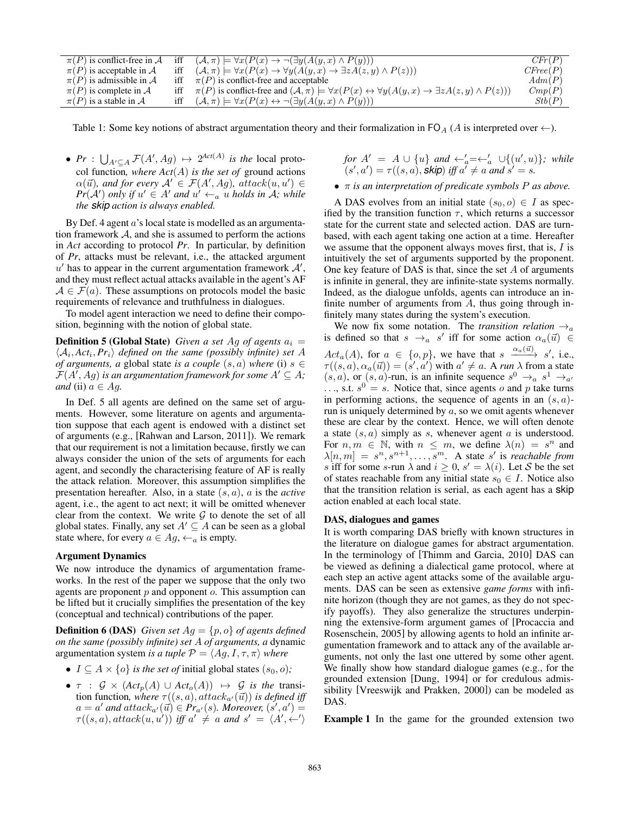| $\pi(P)$ is conflict-free in A |     | iff $(\mathcal{A}, \pi) \models \forall x (P(x) \rightarrow \neg (\exists y (A(y, x) \land P(y)))$                                        | CFr(P)   |
|--------------------------------|-----|-------------------------------------------------------------------------------------------------------------------------------------------|----------|
| $\pi(P)$ is acceptable in A    | iff | $(\mathcal{A}, \pi) \models \forall x (P(x) \rightarrow \forall y (A(y, x) \rightarrow \exists z A(z, y) \land P(z)))$                    | CFree(P) |
| $\pi(P)$ is admissible in A    |     | iff $\pi(P)$ is conflict-free and acceptable                                                                                              | Adm(P)   |
| $\pi(P)$ is complete in A      |     | $\pi(P)$ is conflict-free and $(A,\pi) \models \forall x(P(x) \leftrightarrow \forall y(A(y,x) \rightarrow \exists z A(z,y) \land P(z)))$ | Cmp(P)   |
| $\pi(P)$ is a stable in A      |     | iff $(\mathcal{A}, \pi) \models \forall x (P(x) \leftrightarrow \neg (\exists y (A(y, x) \land P(y)))$                                    | Stb(P)   |

Table 1: Some key notions of abstract argumentation theory and their formalization in  $\mathsf{FO}_A(A)$  is interpreted over  $\leftarrow$ ).

•  $Pr: \bigcup_{A' \subseteq A} \mathcal{F}(A', Ag) \mapsto 2^{Act(A)}$  *is the* local protocol function, where  $Act(A)$  is the set of ground actions  $\alpha(\vec{u})$ , and for every  $\mathcal{A}' \in \mathcal{F}(A', Ag)$ , attack $(u, u') \in$  $Pr(A')$  *only if*  $u' \in A'$  *and*  $u' \leftarrow_a u$  *holds in A; while the skip action is always enabled.*

By Def. 4 agent  $a$ 's local state is modelled as an argumentation framework  $A$ , and she is assumed to perform the actions in *Act* according to protocol *Pr*. In particular, by definition of *Pr*, attacks must be relevant, i.e., the attacked argument  $u'$  has to appear in the current argumentation framework  $A'$ , and they must reflect actual attacks available in the agent's AF  $A \in \mathcal{F}(a)$ . These assumptions on protocols model the basic requirements of relevance and truthfulness in dialogues.

To model agent interaction we need to define their composition, beginning with the notion of global state.

**Definition 5 (Global State)** *Given a set Ag of agents*  $a_i =$  $\langle A_i, Act_i, Pr_i \rangle$  *defined on the same (possibly infinite) set* A *of arguments, a* global state *is a couple*  $(s, a)$  *where* (i)  $s \in$  $\mathcal{F}(A',Ag)$  is an argumentation framework for some  $A' \subseteq A$ ; *and* (ii)  $a \in Aq$ .

In Def. 5 all agents are defined on the same set of arguments. However, some literature on agents and argumentation suppose that each agent is endowed with a distinct set of arguments (e.g., [Rahwan and Larson, 2011]). We remark that our requirement is not a limitation because, firstly we can always consider the union of the sets of arguments for each agent, and secondly the characterising feature of AF is really the attack relation. Moreover, this assumption simplifies the presentation hereafter. Also, in a state (s, a), a is the *active* agent, i.e., the agent to act next; it will be omitted whenever clear from the context. We write  $G$  to denote the set of all global states. Finally, any set  $A' \subseteq A$  can be seen as a global state where, for every  $a \in Ag$ ,  $\leftarrow_a$  is empty.

#### Argument Dynamics

We now introduce the dynamics of argumentation frameworks. In the rest of the paper we suppose that the only two agents are proponent  $p$  and opponent  $o$ . This assumption can be lifted but it crucially simplifies the presentation of the key (conceptual and technical) contributions of the paper.

**Definition 6 (DAS)** *Given set*  $Ag = \{p, o\}$  *of agents defined on the same (possibly infinite) set* A *of arguments, a* dynamic argumentation system *is a tuple*  $P = \langle Ag, I, \tau, \pi \rangle$  *where* 

- $I \subseteq A \times \{o\}$  *is the set of* initial global states  $(s_0, o)$ *;*
- $\tau$  :  $\mathcal{G} \times (Act_p(A) \cup Act_o(A)) \mapsto \mathcal{G}$  *is the* transition function, where  $\tau((s, a), attack_{a'}(\vec{u}))$  *is defined iff*  $a = a'$  and  $attack_{a'}(\vec{u}) \in Pr_{a'}(s)$ . Moreover,  $(s', a') =$  $\tau((s, a), attack(u, u'))$  iff  $a' \neq a$  and  $s' = \langle A', \leftarrow' \rangle$

*for*  $A' = A \cup \{u\}$  *and*  $\leftarrow_a' = \leftarrow_a' \cup \{(u', u)\}\$ *; while*  $\mathcal{L}(s', a') = \tau((s, a), \mathsf{skip}) \text{ iff } a^{\mathsf{T}} \neq a \text{ and } s' = s'.$ 

• π *is an interpretation of predicate symbols* P *as above.*

A DAS evolves from an initial state  $(s_0, o) \in I$  as specified by the transition function  $\tau$ , which returns a successor state for the current state and selected action. DAS are turnbased, with each agent taking one action at a time. Hereafter we assume that the opponent always moves first, that is,  $I$  is intuitively the set of arguments supported by the proponent. One key feature of DAS is that, since the set  $A$  of arguments is infinite in general, they are infinite-state systems normally. Indeed, as the dialogue unfolds, agents can introduce an infinite number of arguments from  $A$ , thus going through infinitely many states during the system's execution.

We now fix some notation. The *transition relation*  $\rightarrow_a$ is defined so that  $s \to a$  s' iff for some action  $\alpha_a(\vec{u}) \in$  $Act_a(A)$ , for  $a \in \{o, p\}$ , we have that  $s \xrightarrow{\alpha_a(\vec{u})} s'$ , i.e.,  $\tau((s, a), \alpha_a(\vec{u})) = (s', a')$  with  $a' \neq a$ . A *run*  $\lambda$  from a state  $(s, a)$ , or  $(s, a)$ -run, is an infinite sequence  $s^0 \rightarrow_a s^1 \rightarrow_{a'} s$  $\ldots$ , s.t.  $s^0 = s$ . Notice that, since agents o and p take turns in performing actions, the sequence of agents in an  $(s, a)$ run is uniquely determined by  $a$ , so we omit agents whenever these are clear by the context. Hence, we will often denote a state  $(s, a)$  simply as s, whenever agent a is understood. For  $n, m \in \mathbb{N}$ , with  $n \leq m$ , we define  $\lambda(n) = s^n$  and  $\lambda[n,m] = s^n, s^{n+1}, \ldots, s^m$ . A state s' is *reachable from* s iff for some s-run  $\lambda$  and  $i \geq 0$ ,  $s' = \lambda(i)$ . Let S be the set of states reachable from any initial state  $s_0 \in I$ . Notice also that the transition relation is serial, as each agent has a skip action enabled at each local state.

#### DAS, dialogues and games

It is worth comparing DAS briefly with known structures in the literature on dialogue games for abstract argumentation. In the terminology of [Thimm and Garcia, 2010] DAS can be viewed as defining a dialectical game protocol, where at each step an active agent attacks some of the available arguments. DAS can be seen as extensive *game forms* with infinite horizon (though they are not games, as they do not specify payoffs). They also generalize the structures underpinning the extensive-form argument games of [Procaccia and Rosenschein, 2005] by allowing agents to hold an infinite argumentation framework and to attack any of the available arguments, not only the last one uttered by some other agent. We finally show how standard dialogue games (e.g., for the grounded extension [Dung, 1994] or for credulous admissibility [Vreeswijk and Prakken, 2000]) can be modeled as DAS.

Example 1 In the game for the grounded extension two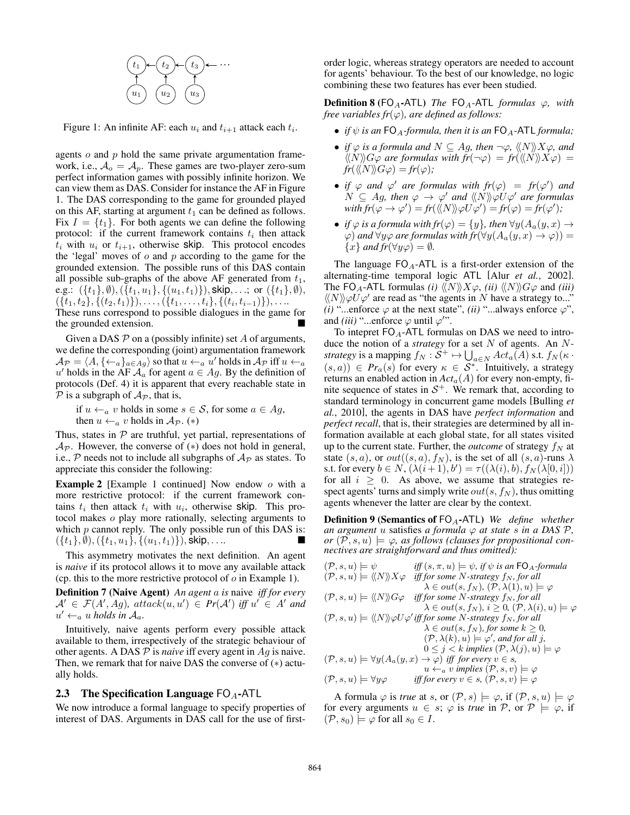

Figure 1: An infinite AF: each  $u_i$  and  $t_{i+1}$  attack each  $t_i$ .

agents  $\sigma$  and  $p$  hold the same private argumentation framework, i.e.,  $A_o = A_p$ . These games are two-player zero-sum perfect information games with possibly infinite horizon. We can view them as DAS. Consider for instance the AF in Figure 1. The DAS corresponding to the game for grounded played on this AF, starting at argument  $t_1$  can be defined as follows. Fix  $I = \{t_1\}$ . For both agents we can define the following protocol: if the current framework contains  $t_i$  then attack  $t_i$  with  $u_i$  or  $t_{i+1}$ , otherwise skip. This protocol encodes the 'legal' moves of  $o$  and  $p$  according to the game for the grounded extension. The possible runs of this DAS contain all possible sub-graphs of the above AF generated from  $t_1$ , e.g.:  $({t_1}, 0), ({t_1, u_1}, ({u_1, t_1})),$  skip, ...; or  $({t_1}, 0),$  $({t<sub>1</sub>, t<sub>2</sub>}, {t<sub>2</sub>, t<sub>1</sub>})),...,({t<sub>1</sub>,..., t<sub>i</sub>}, {t<sub>i</sub>, t<sub>i-1</sub>)}),...$ These runs correspond to possible dialogues in the game for the grounded extension.

Given a DAS  $P$  on a (possibly infinite) set  $A$  of arguments, we define the corresponding (joint) argumentation framework  $\mathcal{A}_{\mathcal{P}} = \langle A, \{\leftarrow_a\}_{a \in Ag} \rangle$  so that  $u \leftarrow_a u'$  holds in  $\mathcal{A}_{\mathcal{P}}$  iff  $u \leftarrow_a$ u' holds in the AF  $\mathcal{A}_a$  for agent  $a \in Ag$ . By the definition of protocols (Def. 4) it is apparent that every reachable state in  $P$  is a subgraph of  $A_P$ , that is,

if  $u \leftarrow_a v$  holds in some  $s \in S$ , for some  $a \in Ag$ , then  $u \leftarrow_a v$  holds in  $\mathcal{A}_{\mathcal{P}}$ . (\*)

Thus, states in  $P$  are truthful, yet partial, representations of  $Ap.$  However, the converse of  $(*)$  does not hold in general, i.e.,  $P$  needs not to include all subgraphs of  $A_P$  as states. To appreciate this consider the following:

**Example 2** [Example 1 continued] Now endow  $o$  with a more restrictive protocol: if the current framework contains  $t_i$  then attack  $t_i$  with  $u_i$ , otherwise skip. This protocol makes o play more rationally, selecting arguments to which  $p$  cannot reply. The only possible run of this DAS is:  $({t_1}, 0), ({t_1, u_1}, ({u_1, t_1})),$  skip, . . ..

This asymmetry motivates the next definition. An agent is *naive* if its protocol allows it to move any available attack (cp. this to the more restrictive protocol of  $o$  in Example 1).

Definition 7 (Naive Agent) *An agent* a *is* naive *iff for every*  $A' \in \mathcal{F}(A', Ag)$ , attack $(u, u') \in Pr(A')$  iff  $u' \in A'$  and  $u' \leftarrow_a u$  *holds in*  $\mathcal{A}_a$ .

Intuitively, naive agents perform every possible attack available to them, irrespectively of the strategic behaviour of other agents. A DAS  $P$  is *naive* iff every agent in  $Ag$  is naive. Then, we remark that for naive DAS the converse of (∗) actually holds.

#### 2.3 The Specification Language  $FO_A$ -ATL

We now introduce a formal language to specify properties of interest of DAS. Arguments in DAS call for the use of firstorder logic, whereas strategy operators are needed to account for agents' behaviour. To the best of our knowledge, no logic combining these two features has ever been studied.

**Definition 8** (FO<sub>A</sub>-ATL) *The* FO<sub>A</sub>-ATL *formulas*  $\varphi$ *, with free variables fr*( $\varphi$ )*, are defined as follows:* 

- *if*  $\psi$  *is an* FO<sub>A</sub>-formula, then it is an FO<sub>A</sub>-ATL *formula*;
- *if*  $\varphi$  *is a formula and*  $N \subseteq Ag$ *, then*  $\neg \varphi$ *,*  $\langle \langle N \rangle \rangle X \varphi$ *, and*  $\langle\langle N\rangle\rangle G\varphi$  are formulas with  $fr(\neg\varphi) = fr(\langle\langle N\rangle\rangle X\varphi) =$  $fr(\langle\langle N\rangle\rangle G\varphi) = fr(\varphi)$ ;
- *if*  $\varphi$  *and*  $\varphi'$  *are formulas with*  $fr(\varphi) = fr(\varphi')$  *and*  $N \subseteq Ag$ , then  $\varphi \to \varphi'$  and  $\langle\!\langle N \rangle\!\rangle \varphi U \varphi'$  are formulas  $\text{with } fr(\varphi \to \varphi') = \text{fr}(\langle \langle N \rangle \rangle \varphi U \varphi') = \text{fr}(\varphi) = \text{fr}(\varphi');$
- *if*  $\varphi$  *is a formula with fr*( $\varphi$ ) = {*y*}*, then*  $\forall y(A_a(y, x) \rightarrow$  $\varphi$ ) *and*  $\forall y \varphi$  *are formulas with fr* $(\forall y(A_a(y, x) \rightarrow \varphi))$  =  ${x}$  *and fr*( $\forall y \varphi$ ) =  $\emptyset$ *.*

The language  $FO_A$ -ATL is a first-order extension of the alternating-time temporal logic ATL [Alur *et al.*, 2002]. The FO<sub>A</sub>-ATL formulas *(i)*  $\langle N \rangle X\varphi$ , *(ii)*  $\langle N \rangle G\varphi$  and *(iii)*  $\langle N \rangle \varphi U \varphi'$  are read as "the agents in N have a strategy to..." *(i)* "...enforce  $\varphi$  at the next state", *(ii)* "...always enforce  $\varphi$ ", and *(iii)* "...enforce  $\varphi$  until  $\varphi$ ".

To intepret  $FO_A$ -ATL formulas on DAS we need to introduce the notion of a *strategy* for a set N of agents. An N*strategy* is a mapping  $f_N : S^+ \mapsto \bigcup_{a \in N} Act_a(A)$  s.t.  $f_N(\kappa \cdot$  $(s, a)$ )  $\in$   $Pr_a(s)$  for every  $\kappa \in S^*$ . Intuitively, a strategy returns an enabled action in  $Act_a(A)$  for every non-empty, finite sequence of states in  $S<sup>+</sup>$ . We remark that, according to standard terminology in concurrent game models [Bulling *et al.*, 2010], the agents in DAS have *perfect information* and *perfect recall*, that is, their strategies are determined by all information available at each global state, for all states visited up to the current state. Further, the *outcome* of strategy  $f_N$  at state  $(s, a)$ , or  $out((s, a), f_N)$ , is the set of all  $(s, a)$ -runs  $\lambda$ s.t. for every  $b \in N$ ,  $(\lambda(i+1), b') = \tau((\lambda(i), b), f_N(\lambda[0, i]))$ for all  $i \geq 0$ . As above, we assume that strategies respect agents' turns and simply write  $out(s, f_N)$ , thus omitting agents whenever the latter are clear by the context.

**Definition 9 (Semantics of FO<sub>A</sub>-ATL)** *We define whether an argument u* satisfies *a formula*  $\varphi$  *at state s in a DAS*  $\mathcal{P}$ *,*  $or$   $(\mathcal{P}, s, u) \models \varphi$ , as follows (clauses for propositional con*nectives are straightforward and thus omitted):*

$$
\begin{aligned}\n(\mathcal{P}, s, u) &= \psi & \text{iff } (s, \pi, u) \models \psi, \text{ if } \psi \text{ is an FO}_A\text{-formula} \\
(\mathcal{P}, s, u) &= \langle\!\langle N \rangle\!\rangle X\varphi & \text{iff for some } N\text{-strategy } f_N, \text{for all} \\
& \lambda \in out(s, f_N), (\mathcal{P}, \lambda(1), u) \models \varphi \\
(\mathcal{P}, s, u) &= \langle\!\langle N \rangle\!\rangle G\varphi & \text{iff for some } N\text{-strategy } f_N, \text{for all} \\
& \lambda \in out(s, f_N), \text{ if } \geq 0, (\mathcal{P}, \lambda(i), u) \models \varphi \\
(\mathcal{P}, s, u) &= \langle\!\langle N \rangle\!\rangle \varphi U\varphi' \text{iff for some } N\text{-strategy } f_N, \text{for all} \\
& \lambda \in out(s, f_N), \text{ for some } k \geq 0, \\
& (\mathcal{P}, \lambda(k), u) \models \varphi', \text{ and for all } j, \\
& 0 \leq j < k \text{ implies } (\mathcal{P}, \lambda(j), u) \models \varphi \\
(\mathcal{P}, s, u) \models \forall y (A_a(y, x) \rightarrow \varphi) \text{ iff for every } v \in s, \\
& u \leftarrow_a v \text{ implies } (\mathcal{P}, s, v) \models \varphi \\
(\mathcal{P}, s, u) \models \forall y \varphi & \text{iff for every } v \in s, (\mathcal{P}, s, v) \models \varphi\n\end{aligned}
$$

A formula  $\varphi$  is *true* at s, or  $(\mathcal{P}, s) \models \varphi$ , if  $(\mathcal{P}, s, u) \models \varphi$ for every arguments  $u \in s$ ;  $\varphi$  is *true* in P, or  $\mathcal{P} \models \varphi$ , if  $(\mathcal{P}, s_0) \models \varphi$  for all  $s_0 \in I$ .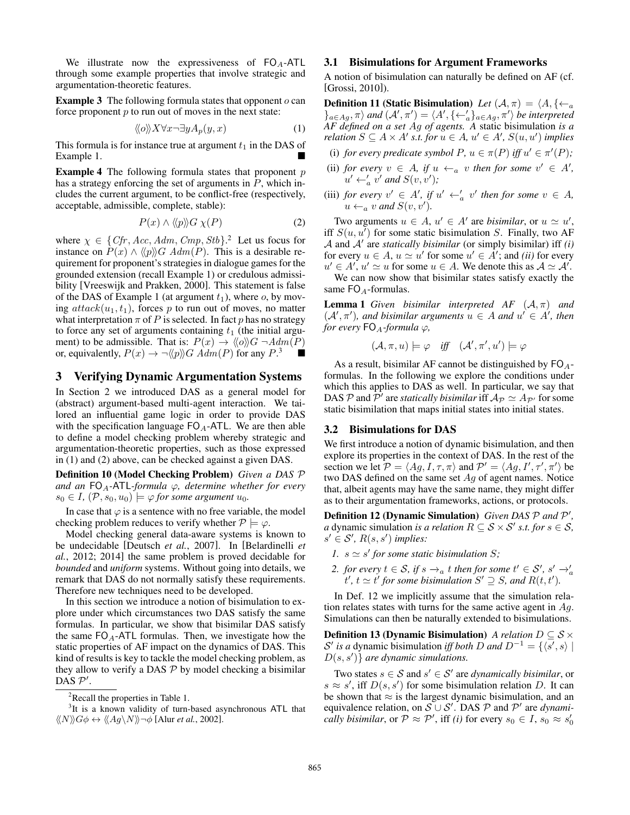We illustrate now the expressiveness of  $FO<sub>A</sub>$ -ATL through some example properties that involve strategic and argumentation-theoretic features.

**Example 3** The following formula states that opponent  $o$  can force proponent  $p$  to run out of moves in the next state:

$$
\langle\!\langle o \rangle\!\rangle X \forall x \neg \exists y A_p(y, x) \tag{1}
$$

This formula is for instance true at argument  $t_1$  in the DAS of Example 1.

**Example 4** The following formula states that proponent  $p$ has a strategy enforcing the set of arguments in  $P$ , which includes the current argument, to be conflict-free (respectively, acceptable, admissible, complete, stable):

$$
P(x) \wedge \langle\!\langle p \rangle\!\rangle G \chi(P) \tag{2}
$$

where  $\chi \in \{Cfr, Acc, Adm, Cmp, Stb\}$ <sup>2</sup> Let us focus for instance on  $P(x) \wedge \langle p \rangle G$  Adm(P). This is a desirable requirement for proponent's strategies in dialogue games for the grounded extension (recall Example 1) or credulous admissibility [Vreeswijk and Prakken, 2000]. This statement is false of the DAS of Example 1 (at argument  $t_1$ ), where  $o$ , by moving  $attack(u_1, t_1)$ , forces p to run out of moves, no matter what interpretation  $\pi$  of P is selected. In fact p has no strategy to force any set of arguments containing  $t_1$  (the initial argument) to be admissible. That is:  $P(x) \rightarrow \langle \langle o \rangle \rangle G \rightarrow Adm(P)$ or, equivalently,  $P(x) \to \neg \langle p \rangle\!\rangle G \overrightarrow{Adm}(P)$  for any  $P^3$ 

### 3 Verifying Dynamic Argumentation Systems

In Section 2 we introduced DAS as a general model for (abstract) argument-based multi-agent interaction. We tailored an influential game logic in order to provide DAS with the specification language  $FO_A-ATL$ . We are then able to define a model checking problem whereby strategic and argumentation-theoretic properties, such as those expressed in (1) and (2) above, can be checked against a given DAS.

Definition 10 (Model Checking Problem) *Given a DAS* P *and an*  $FO_A$ -ATL-formula  $\varphi$ , determine whether for every  $s_0 \in I$ ,  $(\mathcal{P}, s_0, u_0) \models \varphi$  *for some argument*  $u_0$ *.* 

In case that  $\varphi$  is a sentence with no free variable, the model checking problem reduces to verify whether  $P \models \varphi$ .

Model checking general data-aware systems is known to be undecidable [Deutsch *et al.*, 2007]. In [Belardinelli *et al.*, 2012; 2014] the same problem is proved decidable for *bounded* and *uniform* systems. Without going into details, we remark that DAS do not normally satisfy these requirements. Therefore new techniques need to be developed.

In this section we introduce a notion of bisimulation to explore under which circumstances two DAS satisfy the same formulas. In particular, we show that bisimilar DAS satisfy the same  $FO_A$ -ATL formulas. Then, we investigate how the static properties of AF impact on the dynamics of DAS. This kind of results is key to tackle the model checking problem, as they allow to verify a DAS  $P$  by model checking a bisimilar  $\overline{\mathrm{DAS}} \ \mathcal{P}'$ .

<sup>3</sup>It is a known validity of turn-based asynchronous ATL that  $\langle\langle N\rangle\rangle G\phi \leftrightarrow \langle\langle Ag\rangle N\rangle\rangle \neg \phi$  [Alur *et al.*, 2002].

#### 3.1 Bisimulations for Argument Frameworks

A notion of bisimulation can naturally be defined on AF (cf. [Grossi, 2010]).

**Definition 11 (Static Bisimulation)** *Let*  $(A, \pi) = \langle A, \{\leftarrow_a\}$  $\{A_{a\in Ag}, \pi\}$  and  $(A', \pi') = \langle A', \{\leftarrow_a'\}_{a\in Ag}, \pi'\rangle$  be interpreted *AF defined on a set* Ag *of agents. A* static bisimulation *is a relation*  $S \subseteq A \times A'$  *s.t. for*  $u \in A$ *,*  $u' \in A'$ *,*  $S(u, u')$  *implies* 

- (i) *for every predicate symbol*  $P, u \in \pi(P)$  *iff*  $u' \in \pi'(P)$ *;*
- (ii) *for every*  $v \in A$ *, if*  $u \leftarrow_a v$  *then for some*  $v' \in A'$ *,*  $u' \leftarrow_a' v'$  and  $S(v, v')$ ;
- (iii) *for every*  $v' \in A'$ *, if*  $u' \leftarrow_a' v'$  *then for some*  $v \in A$ *,*  $u \leftarrow_a v$  and  $S(v, v')$ .

Two arguments  $u \in A$ ,  $u' \in A'$  are *bisimilar*, or  $u \simeq u'$ , iff  $S(u, u<sup>T</sup>)$  for some static bisimulation S. Finally, two AF  $A$  and  $A'$  are *statically bisimilar* (or simply bisimilar) iff *(i)* for every  $u \in A$ ,  $u \simeq u'$  for some  $u' \in \overline{A'}$ ; and *(ii)* for every  $u' \in A'$ ,  $u' \simeq u$  for some  $u \in A$ . We denote this as  $A \simeq A'$ .

We can now show that bisimilar states satisfy exactly the same  $FO_A$ -formulas.

**Lemma 1** *Given bisimilar interpreted AF*  $(A, \pi)$  *and*  $(A', \pi')$ , and bisimilar arguments  $u \in A$  and  $u' \in A'$ , then *for every*  $FO<sub>A</sub>$ *-formula*  $\varphi$ *,* 

$$
(\mathcal{A}, \pi, u) \models \varphi \quad \textit{iff} \quad (\mathcal{A}', \pi', u') \models \varphi
$$

As a result, bisimilar AF cannot be distinguished by  $FO_{A}$ formulas. In the following we explore the conditions under which this applies to DAS as well. In particular, we say that DAS P and  $\tilde{P}'$  are *statically bisimilar* iff  $\mathcal{A}_{\mathcal{P}} \simeq A_{\mathcal{P}'}$  for some static bisimilation that maps initial states into initial states.

#### 3.2 Bisimulations for DAS

We first introduce a notion of dynamic bisimulation, and then explore its properties in the context of DAS. In the rest of the section we let  $\mathcal{P} = \langle Ag, I, \tau, \pi \rangle$  and  $\mathcal{P}' = \langle Ag, I', \tau', \pi' \rangle$  be two DAS defined on the same set  $Ag$  of agent names. Notice that, albeit agents may have the same name, they might differ as to their argumentation frameworks, actions, or protocols.

Definition 12 (Dynamic Simulation) *Given DAS*  $P$  and  $P'$ , *a* dynamic simulation *is a relation*  $R \subseteq S \times S'$  *s.t. for*  $s \in S$ *,*  $s' \in \mathcal{S}'$ ,  $R(s, s')$  *implies:* 

- *l.*  $s \simeq s'$  for some static bisimulation S;
- *2. for every*  $t \in S$ , if  $s \to a$  *t* then for some  $t' \in S'$ ,  $s' \to a$  $t', t \simeq t'$  for some bisimulation  $S' \supseteq S$ , and  $R(t, t')$ .

In Def. 12 we implicitly assume that the simulation relation relates states with turns for the same active agent in  $Aq$ . Simulations can then be naturally extended to bisimulations.

**Definition 13 (Dynamic Bisimulation)** *A relation*  $D \subseteq S \times$ S' is a dynamic bisimulation *iff both* D and  $D^{-1} = \{ \langle s', s \rangle \mid$  $D(s, s')$  are dynamic simulations.

Two states  $s \in S$  and  $s' \in S'$  are *dynamically bisimilar*, or  $s \approx s'$ , iff  $D(s, s')$  for some bisimulation relation D. It can be shown that  $\approx$  is the largest dynamic bisimulation, and an equivalence relation, on  $S \cup S'$ . DAS P and P' are *dynamically bisimilar*, or  $P \approx P'$ , iff *(i)* for every  $s_0 \in I$ ,  $s_0 \approx s'_0$ 

<sup>&</sup>lt;sup>2</sup>Recall the properties in Table 1.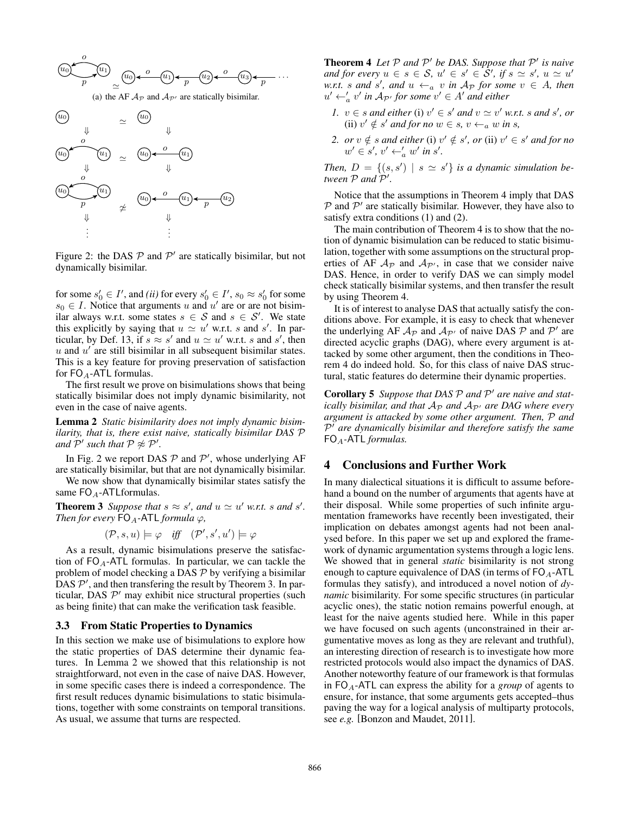

Figure 2: the DAS  $P$  and  $P'$  are statically bisimilar, but not dynamically bisimilar.

for some  $s'_0 \in I'$ , and *(ii)* for every  $s'_0 \in I'$ ,  $s_0 \approx s'_0$  for some  $s_0 \in I$ . Notice that arguments u and u' are or are not bisimilar always w.r.t. some states  $s \in S$  and  $s \in S'$ . We state this explicitly by saying that  $u \simeq u'$  w.r.t. s and s'. In particular, by Def. 13, if  $s \approx s'$  and  $u \approx u'$  w.r.t. s and s', then  $u$  and  $u'$  are still bisimilar in all subsequent bisimilar states. This is a key feature for proving preservation of satisfaction for  $FO_A$ -ATL formulas.

The first result we prove on bisimulations shows that being statically bisimilar does not imply dynamic bisimilarity, not even in the case of naive agents.

Lemma 2 *Static bisimilarity does not imply dynamic bisimilarity, that is, there exist naive, statically bisimilar DAS* P *and*  $\mathcal{P}'$  such that  $\mathcal{P} \not\approx \mathcal{P}'$ .

In Fig. 2 we report DAS  $P$  and  $P'$ , whose underlying AF are statically bisimilar, but that are not dynamically bisimilar.

We now show that dynamically bisimilar states satisfy the same  $FO_A$ -ATLformulas.

**Theorem 3** Suppose that  $s \approx s'$ , and  $u \approx u'$  w.r.t. s and s'. *Then for every*  $FO_A$ -ATL *formula*  $\varphi$ *,* 

 $(\mathcal{P}, s, u) \models \varphi \quad \text{iff} \quad (\mathcal{P}', s', u') \models \varphi$ 

As a result, dynamic bisimulations preserve the satisfaction of  $FO_A$ -ATL formulas. In particular, we can tackle the problem of model checking a DAS  $P$  by verifying a bisimilar  $\overline{D}$ AS  $\mathcal{P}'$ , and then transfering the result by Theorem 3. In particular, DAS  $\mathcal{P}'$  may exhibit nice structural properties (such as being finite) that can make the verification task feasible.

#### 3.3 From Static Properties to Dynamics

In this section we make use of bisimulations to explore how the static properties of DAS determine their dynamic features. In Lemma 2 we showed that this relationship is not straightforward, not even in the case of naive DAS. However, in some specific cases there is indeed a correspondence. The first result reduces dynamic bisimulations to static bisimulations, together with some constraints on temporal transitions. As usual, we assume that turns are respected.

**Theorem 4** Let  $P$  and  $P'$  be DAS. Suppose that  $P'$  is naive *and for every*  $u \in s \in S$ ,  $u' \in s' \in \mathcal{S}'$ , if  $s \simeq s'$ ,  $u \simeq u'$ w.r.t. *s* and *s'*, and  $u \leftarrow_a v$  *in*  $A_p$  *for some*  $v \in A$ , *then*  $u' \leftarrow'_{a} v'$  in  $A_{\mathcal{P}'}$  for some  $v' \in A'$  and either

- *1.*  $v \in s$  *and either* (i)  $v' \in s'$  *and*  $v \simeq v'$  *w.r.t. s and*  $s'$ *, or* (ii)  $v' \notin s'$  and for no  $w \in s$ ,  $v \leftarrow_a w$  in s,
- 2. or  $v \notin s$  *and either* (i)  $v' \notin s'$ , or (ii)  $v' \in s'$  *and for no*  $w' \in s', v' \leftarrow_a' w' \text{ in } s'.$

*Then,*  $D = \{(s, s') | s \simeq s'\}$  *is a dynamic simulation between*  $P$  *and*  $\hat{P}'$ .

Notice that the assumptions in Theorem 4 imply that DAS  $P$  and  $P'$  are statically bisimilar. However, they have also to satisfy extra conditions (1) and (2).

The main contribution of Theorem 4 is to show that the notion of dynamic bisimulation can be reduced to static bisimulation, together with some assumptions on the structural properties of AF  $A_{\mathcal{P}}$  and  $A_{\mathcal{P}}$ , in case that we consider naive DAS. Hence, in order to verify DAS we can simply model check statically bisimilar systems, and then transfer the result by using Theorem 4.

It is of interest to analyse DAS that actually satisfy the conditions above. For example, it is easy to check that whenever the underlying AF  $A_{\mathcal{P}}$  and  $A_{\mathcal{P}'}$  of naive DAS  $\mathcal P$  and  $\mathcal P'$  are directed acyclic graphs (DAG), where every argument is attacked by some other argument, then the conditions in Theorem 4 do indeed hold. So, for this class of naive DAS structural, static features do determine their dynamic properties.

Corollary 5 Suppose that DAS  $\mathcal P$  and  $\mathcal P'$  are naive and stat*ically bisimilar, and that*  $A_{\mathcal{P}}$  *and*  $A_{\mathcal{P}}$ *' are DAG where every argument is attacked by some other argument. Then,* P *and*  $P<sup>†</sup>$  are dynamically bisimilar and therefore satisfy the same FOA*-*ATL *formulas.*

## 4 Conclusions and Further Work

In many dialectical situations it is difficult to assume beforehand a bound on the number of arguments that agents have at their disposal. While some properties of such infinite argumentation frameworks have recently been investigated, their implication on debates amongst agents had not been analysed before. In this paper we set up and explored the framework of dynamic argumentation systems through a logic lens. We showed that in general *static* bisimilarity is not strong enough to capture equivalence of DAS (in terms of  $FO_A$ -ATL formulas they satisfy), and introduced a novel notion of *dynamic* bisimilarity. For some specific structures (in particular acyclic ones), the static notion remains powerful enough, at least for the naive agents studied here. While in this paper we have focused on such agents (unconstrained in their argumentative moves as long as they are relevant and truthful), an interesting direction of research is to investigate how more restricted protocols would also impact the dynamics of DAS. Another noteworthy feature of our framework is that formulas in  $FO<sub>A</sub>$ -ATL can express the ability for a *group* of agents to ensure, for instance, that some arguments gets accepted–thus paving the way for a logical analysis of multiparty protocols, see *e.g.* [Bonzon and Maudet, 2011].